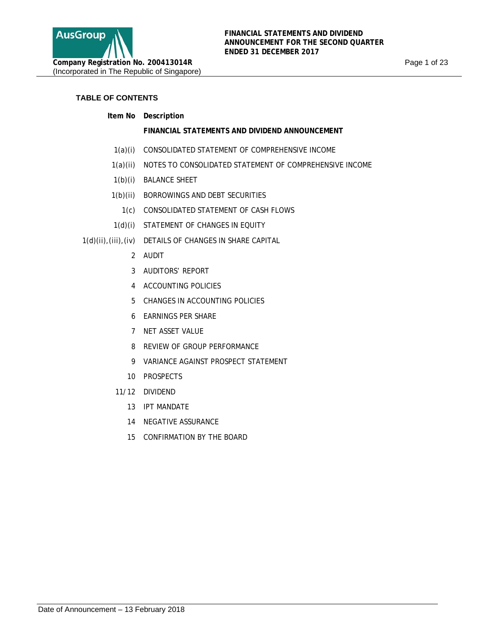

## **TABLE OF CONTENTS**

**Item No Description** 

### **FINANCIAL STATEMENTS AND DIVIDEND ANNOUNCEMENT**

- 1(a)(i) CONSOLIDATED STATEMENT OF COMPREHENSIVE INCOME
- 1(a)(ii) NOTES TO CONSOLIDATED STATEMENT OF COMPREHENSIVE INCOME
- 1(b)(i) BALANCE SHEET
- 1(b)(ii) BORROWINGS AND DEBT SECURITIES
	- 1(c) CONSOLIDATED STATEMENT OF CASH FLOWS
- 1(d)(i) STATEMENT OF CHANGES IN EQUITY
- 1(d)(ii),(iii),(iv) DETAILS OF CHANGES IN SHARE CAPITAL
	- 2 AUDIT
	- 3 AUDITORS' REPORT
	- 4 ACCOUNTING POLICIES
	- 5 CHANGES IN ACCOUNTING POLICIES
	- 6 EARNINGS PER SHARE
	- 7 NET ASSET VALUE
	- 8 REVIEW OF GROUP PERFORMANCE
	- 9 VARIANCE AGAINST PROSPECT STATEMENT
	- 10 PROSPECTS
	- 11/12 DIVIDEND
		- 13 IPT MANDATE
		- 14 NEGATIVE ASSURANCE
		- 15 CONFIRMATION BY THE BOARD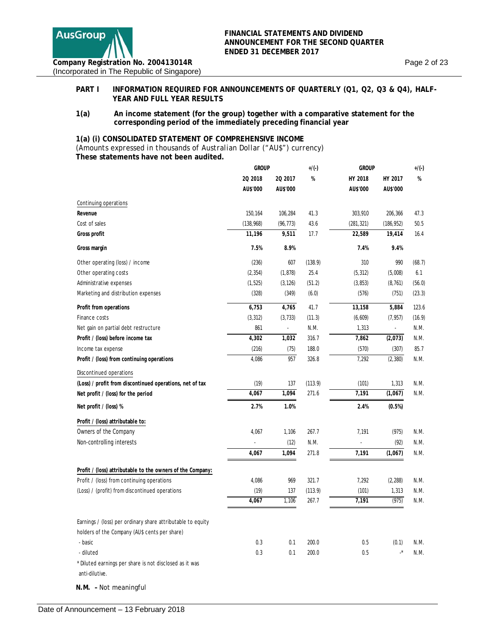

### PART I INFORMATION REQUIRED FOR ANNOUNCEMENTS OF QUARTERLY (Q1, Q2, Q3 & Q4), HALF-**YEAR AND FULL YEAR RESULTS**

**1(a) An income statement (for the group) together with a comparative statement for the corresponding period of the immediately preceding financial year**

### **1(a) (i) CONSOLIDATED STATEMENT OF COMPREHENSIVE INCOME**

*(Amounts expressed in thousands of Australian Dollar ("AU\$") currency)*  **These statements have not been audited.** 

|                                                                                                              | <b>GROUP</b> |           | $+/(-)$ | <b>GROUP</b> |                            | $+/(-)$ |
|--------------------------------------------------------------------------------------------------------------|--------------|-----------|---------|--------------|----------------------------|---------|
|                                                                                                              | 20 2018      | 20 2017   | %       | HY 2018      | HY 2017                    | %       |
|                                                                                                              | AU\$'000     | AU\$'000  |         | AU\$'000     | AU\$'000                   |         |
| Continuing operations                                                                                        |              |           |         |              |                            |         |
| Revenue                                                                                                      | 150,164      | 106,284   | 41.3    | 303,910      | 206,366                    | 47.3    |
| Cost of sales                                                                                                | (138, 968)   | (96, 773) | 43.6    | (281, 321)   | (186, 952)                 | 50.5    |
| Gross profit                                                                                                 | 11,196       | 9,511     | 17.7    | 22,589       | 19,414                     | 16.4    |
| Gross margin                                                                                                 | 7.5%         | 8.9%      |         | 7.4%         | 9.4%                       |         |
| Other operating (loss) / income                                                                              | (236)        | 607       | (138.9) | 310          | 990                        | (68.7)  |
| Other operating costs                                                                                        | (2, 354)     | (1, 878)  | 25.4    | (5, 312)     | (5,008)                    | 6.1     |
| Administrative expenses                                                                                      | (1, 525)     | (3, 126)  | (51.2)  | (3, 853)     | (8, 761)                   | (56.0)  |
| Marketing and distribution expenses                                                                          | (328)        | (349)     | (6.0)   | (576)        | (751)                      | (23.3)  |
| Profit from operations                                                                                       | 6,753        | 4,765     | 41.7    | 13,158       | 5,884                      | 123.6   |
| Finance costs                                                                                                | (3, 312)     | (3, 733)  | (11.3)  | (6,609)      | (7, 957)                   | (16.9)  |
| Net gain on partial debt restructure                                                                         | 861          | ÷.        | N.M.    | 1,313        | ÷.                         | N.M.    |
| Profit / (loss) before income tax                                                                            | 4,302        | 1,032     | 316.7   | 7,862        | (2,073)                    | N.M.    |
| Income tax expense                                                                                           | (216)        | (75)      | 188.0   | (570)        | (307)                      | 85.7    |
| Profit / (loss) from continuing operations                                                                   | 4,086        | 957       | 326.8   | 7,292        | (2, 380)                   | N.M.    |
| Discontinued operations                                                                                      |              |           |         |              |                            |         |
| (Loss) / profit from discontinued operations, net of tax                                                     | (19)         | 137       | (113.9) | (101)        | 1,313                      | N.M.    |
| Net profit / (loss) for the period                                                                           | 4,067        | 1,094     | 271.6   | 7,191        | (1,067)                    | N.M.    |
| Net profit / (loss) %                                                                                        | 2.7%         | 1.0%      |         | 2.4%         | (0.5%)                     |         |
| Profit / (loss) attributable to:                                                                             |              |           |         |              |                            |         |
| Owners of the Company                                                                                        | 4,067        | 1,106     | 267.7   | 7,191        | (975)                      | N.M.    |
| Non-controlling interests                                                                                    |              | (12)      | N.M.    |              | (92)                       | N.M.    |
|                                                                                                              | 4,067        | 1,094     | 271.8   | 7,191        | (1,067)                    | N.M.    |
| Profit / (loss) attributable to the owners of the Company:                                                   |              |           |         |              |                            |         |
| Profit / (loss) from continuing operations                                                                   | 4,086        | 969       | 321.7   | 7,292        | (2, 288)                   | N.M.    |
| (Loss) / (profit) from discontinued operations                                                               | (19)         | 137       | (113.9) | (101)        | 1,313                      | N.M.    |
|                                                                                                              | 4,067        | 1,106     | 267.7   | 7,191        | (975)                      | N.M.    |
| Earnings / (loss) per ordinary share attributable to equity<br>holders of the Company (AU\$ cents per share) |              |           |         |              |                            |         |
| - basic                                                                                                      | 0.3          | 0.1       | 200.0   | 0.5          | (0.1)                      | N.M.    |
| - diluted                                                                                                    | 0.3          | 0.1       | 200.0   | 0.5          | $\boldsymbol{\cdot}^\star$ | N.M.    |
| * Diluted earnings per share is not disclosed as it was<br>anti-dilutive.                                    |              |           |         |              |                            |         |
| N.M. - Not meaningful                                                                                        |              |           |         |              |                            |         |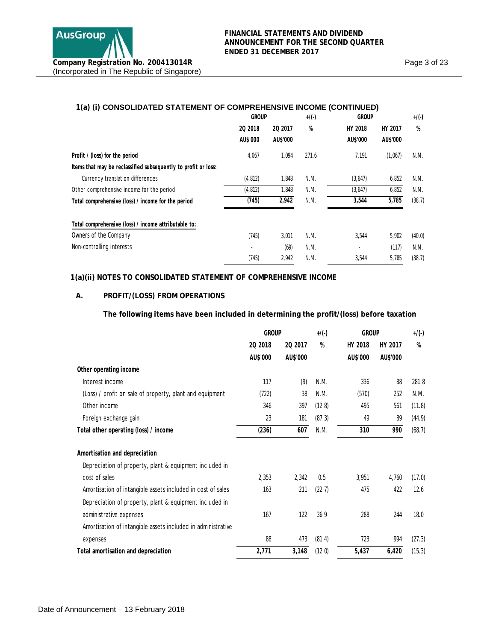# **1(a) (i) CONSOLIDATED STATEMENT OF COMPREHENSIVE INCOME (CONTINUED)**

| 20 2018  | 20 2017  | %            | HY 2018  | HY 2017      | %      |
|----------|----------|--------------|----------|--------------|--------|
| AU\$'000 | AU\$'000 |              | AU\$'000 | AU\$'000     |        |
| 4,067    | 1,094    | 271.6        | 7,191    | (1,067)      | N.M.   |
|          |          |              |          |              |        |
| (4, 812) | 1,848    | N.M.         | (3,647)  | 6,852        | N.M.   |
| (4, 812) | 1,848    | N.M.         | (3,647)  | 6,852        | N.M.   |
| (745)    | 2,942    | N.M.         | 3,544    | 5,785        | (38.7) |
|          |          |              |          |              |        |
| (745)    | 3,011    | N.M.         | 3,544    | 5,902        | (40.0) |
|          | (69)     | N.M.         |          | (117)        | N.M.   |
| (745)    | 2,942    | N.M.         | 3,544    | 5,785        | (38.7) |
|          |          | <b>GROUP</b> | $+/(-)$  | <b>GROUP</b> |        |

### **1(a)(ii) NOTES TO CONSOLIDATED STATEMENT OF COMPREHENSIVE INCOME**

## **A. PROFIT/(LOSS) FROM OPERATIONS**

### **The following items have been included in determining the profit/(loss) before taxation**

|                                                              | <b>GROUP</b> |          | $+/(-)$ | <b>GROUP</b> |          | $+/(-)$ |
|--------------------------------------------------------------|--------------|----------|---------|--------------|----------|---------|
|                                                              | 20 2018      | 20 2017  | %       | HY 2018      | HY 2017  | %       |
|                                                              | AU\$'000     | AU\$'000 |         | AU\$'000     | AU\$'000 |         |
| Other operating income                                       |              |          |         |              |          |         |
| Interest income                                              | 117          | (9)      | N.M.    | 336          | 88       | 281.8   |
| (Loss) / profit on sale of property, plant and equipment     | (722)        | 38       | N.M.    | (570)        | 252      | N.M.    |
| Other income                                                 | 346          | 397      | (12.8)  | 495          | 561      | (11.8)  |
| Foreign exchange gain                                        | 23           | 181      | (87.3)  | 49           | 89       | (44.9)  |
| Total other operating (loss) / income                        | (236)        | 607      | N.M.    | 310          | 990      | (68.7)  |
| Amortisation and depreciation                                |              |          |         |              |          |         |
| Depreciation of property, plant & equipment included in      |              |          |         |              |          |         |
| cost of sales                                                | 2,353        | 2,342    | 0.5     | 3,951        | 4,760    | (17.0)  |
| Amortisation of intangible assets included in cost of sales  | 163          | 211      | (22.7)  | 475          | 422      | 12.6    |
| Depreciation of property, plant & equipment included in      |              |          |         |              |          |         |
| administrative expenses                                      | 167          | 122      | 36.9    | 288          | 244      | 18.0    |
| Amortisation of intangible assets included in administrative |              |          |         |              |          |         |
| expenses                                                     | 88           | 473      | (81.4)  | 723          | 994      | (27.3)  |
| Total amortisation and depreciation                          | 2,771        | 3,148    | (12.0)  | 5,437        | 6,420    | (15.3)  |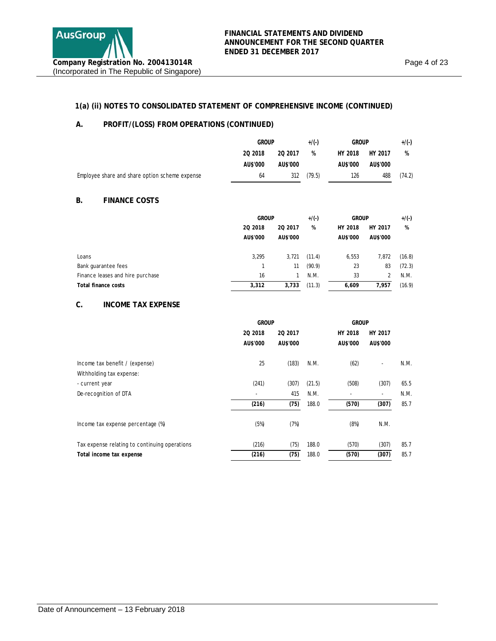Page 4 of 23

## **1(a) (ii) NOTES TO CONSOLIDATED STATEMENT OF COMPREHENSIVE INCOME (CONTINUED)**

## **A. PROFIT/(LOSS) FROM OPERATIONS (CONTINUED)**

|                                                | <b>GROUP</b> |          | $+/(-)$ | <b>GROUP</b> |          | $+/(-)$ |
|------------------------------------------------|--------------|----------|---------|--------------|----------|---------|
|                                                | 20 2018      | 20 2017  | %       | HY 2018      | HY 2017  | %       |
|                                                | AU\$'000     | AU\$'000 |         | AU\$'000     | AU\$'000 |         |
| Employee share and share option scheme expense | 64           | 312      | (79.5)  | 126          | 488      | (74.2)  |

### **B. FINANCE COSTS**

|                                  |          | <b>GROUP</b> |        | <b>GROUP</b> |          | $+/(-)$ |
|----------------------------------|----------|--------------|--------|--------------|----------|---------|
|                                  | 20 2018  | 20 2017      | %      | HY 2018      | HY 2017  | %       |
|                                  | AU\$'000 | AU\$'000     |        | AU\$'000     | AU\$'000 |         |
| Loans                            | 3,295    | 3,721        | (11.4) | 6,553        | 7,872    | (16.8)  |
| Bank guarantee fees              |          | 11           | (90.9) | 23           | 83       | (72.3)  |
| Finance leases and hire purchase | 16       |              | N.M.   | 33           |          | N.M.    |
| Total finance costs              | 3,312    | 3,733        | (11.3) | 6,609        | 7.957    | (16.9)  |

### **C. INCOME TAX EXPENSE**

|                                               | <b>GROUP</b> |          | <b>GROUP</b> |          |          |      |
|-----------------------------------------------|--------------|----------|--------------|----------|----------|------|
|                                               | 20 2018      | 20 2017  |              | HY 2018  | HY 2017  |      |
|                                               | AU\$'000     | AU\$'000 |              | AU\$'000 | AU\$'000 |      |
| Income tax benefit / (expense)                | 25           | (183)    | N.M.         | (62)     | ٠        | N.M. |
| Withholding tax expense:                      |              |          |              |          |          |      |
| - current year                                | (241)        | (307)    | (21.5)       | (508)    | (307)    | 65.5 |
| De-recognition of DTA                         | ٠            | 415      | N.M.         |          | ٠        | N.M. |
|                                               | (216)        | (75)     | 188.0        | (570)    | (307)    | 85.7 |
| Income tax expense percentage (%)             | (5%)         | (7%)     |              | (8%)     | N.M.     |      |
| Tax expense relating to continuing operations | (216)        | (75)     | 188.0        | (570)    | (307)    | 85.7 |
| Total income tax expense                      | (216)        | (75)     | 188.0        | (570)    | (307)    | 85.7 |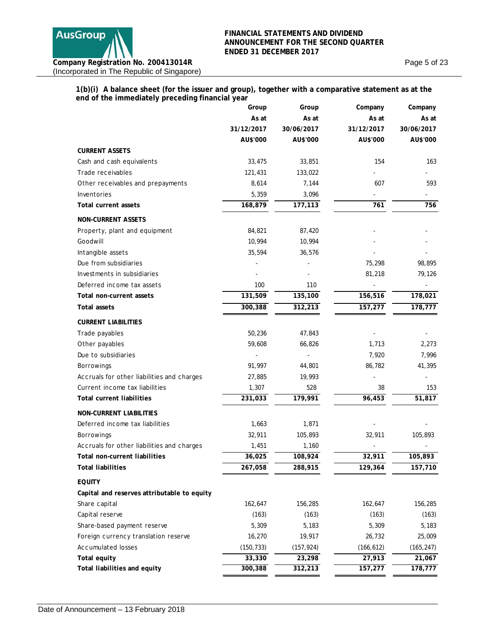

Page 5 of 23

### **1(b)(i) A balance sheet (for the issuer and group), together with a comparative statement as at the end of the immediately preceding financial year**

|                                             | Group      | Group      | Company               | Company    |
|---------------------------------------------|------------|------------|-----------------------|------------|
|                                             | As at      | As at      | As at                 | As at      |
|                                             | 31/12/2017 | 30/06/2017 | 31/12/2017            | 30/06/2017 |
|                                             | AU\$'000   | AU\$'000   | AU\$'000              | AU\$'000   |
| <b>CURRENT ASSETS</b>                       |            |            |                       |            |
| Cash and cash equivalents                   | 33,475     | 33,851     | 154                   | 163        |
| Trade receivables                           | 121,431    | 133,022    |                       |            |
| Other receivables and prepayments           | 8,614      | 7,144      | 607                   | 593        |
| Inventories                                 | 5,359      | 3,096      |                       |            |
| Total current assets                        | 168,879    | 177,113    | 761                   | 756        |
| <b>NON-CURRENT ASSETS</b>                   |            |            |                       |            |
| Property, plant and equipment               | 84,821     | 87,420     |                       |            |
| Goodwill                                    | 10,994     | 10,994     |                       |            |
| Intangible assets                           | 35,594     | 36,576     |                       |            |
| Due from subsidiaries                       |            |            | 75,298                | 98,895     |
| Investments in subsidiaries                 |            |            | 81,218                | 79,126     |
| Deferred income tax assets                  | 100        | 110        |                       |            |
| Total non-current assets                    | 131,509    | 135,100    | 156,516               | 178,021    |
| Total assets                                | 300,388    | 312,213    | 157,277               | 178,777    |
| <b>CURRENT LIABILITIES</b>                  |            |            |                       |            |
| Trade payables                              | 50,236     | 47,843     |                       |            |
| Other payables                              | 59,608     | 66,826     | 1,713                 | 2,273      |
| Due to subsidiaries                         |            |            | 7,920                 | 7,996      |
| Borrowings                                  | 91,997     | 44,801     | 86,782                | 41,395     |
| Accruals for other liabilities and charges  | 27,885     | 19,993     |                       |            |
| Current income tax liabilities              | 1,307      | 528        | 38                    | 153        |
| <b>Total current liabilities</b>            | 231,033    | 179,991    | 96,453                | 51,817     |
| <b>NON-CURRENT LIABILITIES</b>              |            |            |                       |            |
| Deferred income tax liabilities             | 1,663      | 1,871      |                       |            |
| Borrowings                                  | 32,911     | 105,893    | 32,911                | 105,893    |
| Accruals for other liabilities and charges  | 1,451      | 1,160      |                       |            |
| Total non-current liabilities               | 36,025     | 108,924    | 32,911                | 105,893    |
| <b>Total liabilities</b>                    | 267,058    | 288,915    | 129,364               | 157,710    |
| <b>EQUITY</b>                               |            |            |                       |            |
| Capital and reserves attributable to equity |            |            |                       |            |
| Share capital                               | 162,647    | 156,285    | 162,647               | 156,285    |
| Capital reserve                             | (163)      | (163)      | (163)                 | (163)      |
| Share-based payment reserve                 | 5,309      | 5,183      | 5,309                 | 5,183      |
| Foreign currency translation reserve        | 16,270     | 19,917     | 26,732                | 25,009     |
| <b>Accumulated losses</b>                   | (150, 733) | (157, 924) | (166, 612)            | (165, 247) |
| Total equity                                | 33,330     | 23,298     | 27,913                | 21,067     |
| Total liabilities and equity                | 300,388    | 312,213    | $\overline{157}, 277$ | 178,777    |
|                                             |            |            |                       |            |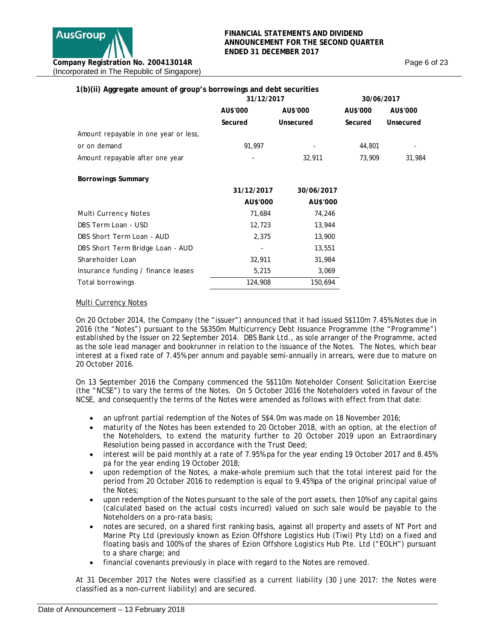| 1(b)(ii) Aggregate amount of group's borrowings and debt securities |            |            |            |           |
|---------------------------------------------------------------------|------------|------------|------------|-----------|
|                                                                     | 31/12/2017 |            | 30/06/2017 |           |
|                                                                     | AU\$'000   | AU\$'000   | AU\$'000   | AU\$'000  |
|                                                                     | Secured    | Unsecured  | Secured    | Unsecured |
| Amount repayable in one year or less,                               |            |            |            |           |
| or on demand                                                        | 91,997     |            | 44,801     |           |
| Amount repayable after one year                                     |            | 32,911     | 73,909     | 31,984    |
| <b>Borrowings Summary</b>                                           |            |            |            |           |
|                                                                     | 31/12/2017 | 30/06/2017 |            |           |
|                                                                     | AU\$'000   | AU\$'000   |            |           |
| Multi Currency Notes                                                | 71,684     | 74,246     |            |           |
| DBS Term Loan - USD                                                 | 12,723     | 13,944     |            |           |
| DBS Short Term Loan - AUD                                           | 2,375      | 13,900     |            |           |
| DBS Short Term Bridge Loan - AUD                                    |            | 13,551     |            |           |
| Shareholder Loan                                                    | 32,911     | 31,984     |            |           |
| Insurance funding / finance leases                                  | 5,215      | 3,069      |            |           |
| Total borrowings                                                    | 124,908    | 150,694    |            |           |

### **Multi Currency Notes**

On 20 October 2014, the Company (the "issuer") announced that it had issued S\$110m 7.45% Notes due in 2016 (the "Notes") pursuant to the S\$350m Multicurrency Debt Issuance Programme (the "Programme") established by the Issuer on 22 September 2014. DBS Bank Ltd., as sole arranger of the Programme, acted as the sole lead manager and bookrunner in relation to the issuance of the Notes. The Notes, which bear interest at a fixed rate of 7.45% per annum and payable semi-annually in arrears, were due to mature on 20 October 2016.

On 13 September 2016 the Company commenced the S\$110m Noteholder Consent Solicitation Exercise (the "NCSE") to vary the terms of the Notes. On 5 October 2016 the Noteholders voted in favour of the NCSE, and consequently the terms of the Notes were amended as follows with effect from that date:

- an upfront partial redemption of the Notes of S\$4.0m was made on 18 November 2016;
- maturity of the Notes has been extended to 20 October 2018, with an option, at the election of the Noteholders, to extend the maturity further to 20 October 2019 upon an Extraordinary Resolution being passed in accordance with the Trust Deed;
- interest will be paid monthly at a rate of 7.95% pa for the year ending 19 October 2017 and 8.45% pa for the year ending 19 October 2018;
- upon redemption of the Notes, a make-whole premium such that the total interest paid for the period from 20 October 2016 to redemption is equal to 9.45%pa of the original principal value of the Notes;
- upon redemption of the Notes pursuant to the sale of the port assets, then 10% of any capital gains (calculated based on the actual costs incurred) valued on such sale would be payable to the Noteholders on a pro-rata basis;
- notes are secured, on a shared first ranking basis, against all property and assets of NT Port and Marine Pty Ltd (previously known as Ezion Offshore Logistics Hub (Tiwi) Pty Ltd) on a fixed and floating basis and 100% of the shares of Ezion Offshore Logistics Hub Pte. Ltd ("EOLH") pursuant to a share charge; and
- financial covenants previously in place with regard to the Notes are removed.

At 31 December 2017 the Notes were classified as a current liability (30 June 2017: the Notes were classified as a non-current liability) and are secured.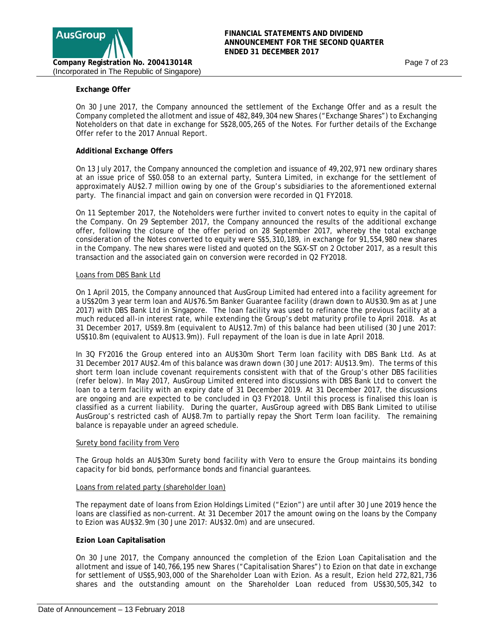

### **Exchange Offer**

On 30 June 2017, the Company announced the settlement of the Exchange Offer and as a result the Company completed the allotment and issue of 482,849,304 new Shares ("Exchange Shares") to Exchanging Noteholders on that date in exchange for S\$28,005,265 of the Notes. For further details of the Exchange Offer refer to the 2017 Annual Report.

### **Additional Exchange Offers**

On 13 July 2017, the Company announced the completion and issuance of 49,202,971 new ordinary shares at an issue price of S\$0.058 to an external party, Suntera Limited, in exchange for the settlement of approximately AU\$2.7 million owing by one of the Group's subsidiaries to the aforementioned external party. The financial impact and gain on conversion were recorded in Q1 FY2018.

On 11 September 2017, the Noteholders were further invited to convert notes to equity in the capital of the Company. On 29 September 2017, the Company announced the results of the additional exchange offer, following the closure of the offer period on 28 September 2017, whereby the total exchange consideration of the Notes converted to equity were S\$5,310,189, in exchange for 91,554,980 new shares in the Company. The new shares were listed and quoted on the SGX-ST on 2 October 2017, as a result this transaction and the associated gain on conversion were recorded in Q2 FY2018.

#### Loans from DBS Bank Ltd

On 1 April 2015, the Company announced that AusGroup Limited had entered into a facility agreement for a US\$20m 3 year term loan and AU\$76.5m Banker Guarantee facility (drawn down to AU\$30.9m as at June 2017) with DBS Bank Ltd in Singapore. The loan facility was used to refinance the previous facility at a much reduced all-in interest rate, while extending the Group's debt maturity profile to April 2018. As at 31 December 2017, US\$9.8m (equivalent to AU\$12.7m) of this balance had been utilised (30 June 2017: US\$10.8m (equivalent to AU\$13.9m)). Full repayment of the loan is due in late April 2018.

In 3Q FY2016 the Group entered into an AU\$30m Short Term loan facility with DBS Bank Ltd. As at 31 December 2017 AU\$2.4m of this balance was drawn down (30 June 2017: AU\$13.9m). The terms of this short term loan include covenant requirements consistent with that of the Group's other DBS facilities (refer below). In May 2017, AusGroup Limited entered into discussions with DBS Bank Ltd to convert the loan to a term facility with an expiry date of 31 December 2019. At 31 December 2017, the discussions are ongoing and are expected to be concluded in Q3 FY2018. Until this process is finalised this loan is classified as a current liability. During the quarter, AusGroup agreed with DBS Bank Limited to utilise AusGroup's restricted cash of AU\$8.7m to partially repay the Short Term loan facility. The remaining balance is repayable under an agreed schedule.

#### Surety bond facility from Vero

The Group holds an AU\$30m Surety bond facility with Vero to ensure the Group maintains its bonding capacity for bid bonds, performance bonds and financial guarantees.

#### Loans from related party (shareholder loan)

The repayment date of loans from Ezion Holdings Limited ("Ezion") are until after 30 June 2019 hence the loans are classified as non-current. At 31 December 2017 the amount owing on the loans by the Company to Ezion was AU\$32.9m (30 June 2017: AU\$32.0m) and are unsecured.

#### **Ezion Loan Capitalisation**

On 30 June 2017, the Company announced the completion of the Ezion Loan Capitalisation and the allotment and issue of 140,766,195 new Shares ("Capitalisation Shares") to Ezion on that date in exchange for settlement of US\$5,903,000 of the Shareholder Loan with Ezion. As a result, Ezion held 272,821,736 shares and the outstanding amount on the Shareholder Loan reduced from US\$30,505,342 to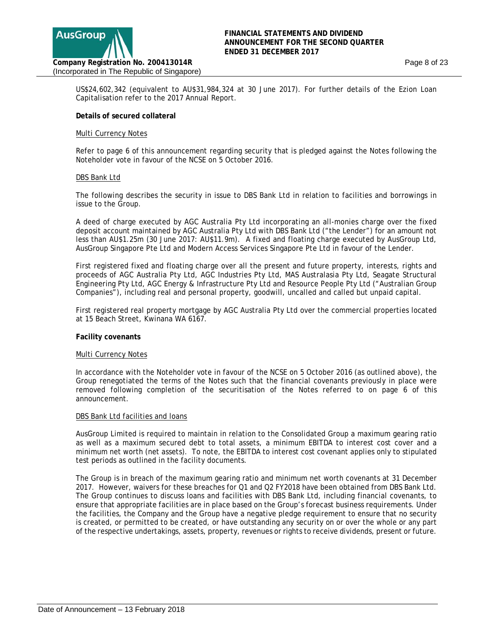

US\$24,602,342 (equivalent to AU\$31,984,324 at 30 June 2017). For further details of the Ezion Loan Capitalisation refer to the 2017 Annual Report.

#### **Details of secured collateral**

#### Multi Currency Notes

Refer to page 6 of this announcement regarding security that is pledged against the Notes following the Noteholder vote in favour of the NCSE on 5 October 2016.

#### DBS Bank Ltd

The following describes the security in issue to DBS Bank Ltd in relation to facilities and borrowings in issue to the Group.

A deed of charge executed by AGC Australia Pty Ltd incorporating an all-monies charge over the fixed deposit account maintained by AGC Australia Pty Ltd with DBS Bank Ltd ("the Lender") for an amount not less than AU\$1.25m (30 June 2017: AU\$11.9m). A fixed and floating charge executed by AusGroup Ltd, AusGroup Singapore Pte Ltd and Modern Access Services Singapore Pte Ltd in favour of the Lender.

First registered fixed and floating charge over all the present and future property, interests, rights and proceeds of AGC Australia Pty Ltd, AGC Industries Pty Ltd, MAS Australasia Pty Ltd, Seagate Structural Engineering Pty Ltd, AGC Energy & Infrastructure Pty Ltd and Resource People Pty Ltd ("Australian Group Companies"), including real and personal property, goodwill, uncalled and called but unpaid capital.

First registered real property mortgage by AGC Australia Pty Ltd over the commercial properties located at 15 Beach Street, Kwinana WA 6167.

#### **Facility covenants**

#### Multi Currency Notes

In accordance with the Noteholder vote in favour of the NCSE on 5 October 2016 (as outlined above), the Group renegotiated the terms of the Notes such that the financial covenants previously in place were removed following completion of the securitisation of the Notes referred to on page 6 of this announcement.

#### DBS Bank Ltd facilities and loans

AusGroup Limited is required to maintain in relation to the Consolidated Group a maximum gearing ratio as well as a maximum secured debt to total assets, a minimum EBITDA to interest cost cover and a minimum net worth (net assets). To note, the EBITDA to interest cost covenant applies only to stipulated test periods as outlined in the facility documents.

The Group is in breach of the maximum gearing ratio and minimum net worth covenants at 31 December 2017. However, waivers for these breaches for Q1 and Q2 FY2018 have been obtained from DBS Bank Ltd. The Group continues to discuss loans and facilities with DBS Bank Ltd, including financial covenants, to ensure that appropriate facilities are in place based on the Group's forecast business requirements. Under the facilities, the Company and the Group have a negative pledge requirement to ensure that no security is created, or permitted to be created, or have outstanding any security on or over the whole or any part of the respective undertakings, assets, property, revenues or rights to receive dividends, present or future.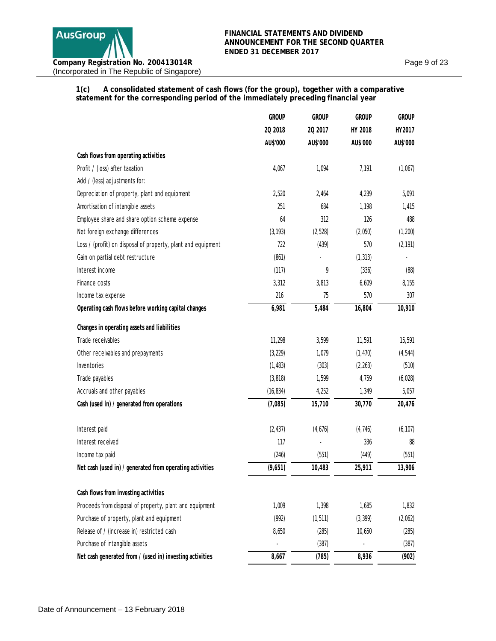Page 9 of 23

**1(c) A consolidated statement of cash flows (for the group), together with a comparative statement for the corresponding period of the immediately preceding financial year**

|                                                                                                 | <b>GROUP</b> | <b>GROUP</b> | <b>GROUP</b> | <b>GROUP</b> |
|-------------------------------------------------------------------------------------------------|--------------|--------------|--------------|--------------|
|                                                                                                 | 20 2018      | 20 2017      | HY 2018      | HY2017       |
|                                                                                                 | AU\$'000     | AU\$'000     | AU\$'000     | AU\$'000     |
| Cash flows from operating activities                                                            |              |              |              |              |
| Profit / (loss) after taxation                                                                  | 4,067        | 1,094        | 7,191        | (1,067)      |
| Add / (less) adjustments for:                                                                   |              |              |              |              |
| Depreciation of property, plant and equipment                                                   | 2,520        | 2,464        | 4,239        | 5,091        |
| Amortisation of intangible assets                                                               | 251          | 684          | 1,198        | 1,415        |
| Employee share and share option scheme expense                                                  | 64           | 312          | 126          | 488          |
| Net foreign exchange differences                                                                | (3, 193)     | (2, 528)     | (2,050)      | (1, 200)     |
| Loss / (profit) on disposal of property, plant and equipment                                    | 722          | (439)        | 570          | (2, 191)     |
| Gain on partial debt restructure                                                                | (861)        |              | (1, 313)     | ٠            |
| Interest income                                                                                 | (117)        | 9            | (336)        | (88)         |
| Finance costs                                                                                   | 3,312        | 3,813        | 6,609        | 8,155        |
| Income tax expense                                                                              | 216          | 75           | 570          | 307          |
| Operating cash flows before working capital changes                                             | 6,981        | 5,484        | 16,804       | 10,910       |
| Changes in operating assets and liabilities                                                     |              |              |              |              |
| Trade receivables                                                                               | 11,298       | 3,599        | 11,591       | 15,591       |
| Other receivables and prepayments                                                               | (3, 229)     | 1,079        | (1, 470)     | (4, 544)     |
| Inventories                                                                                     | (1, 483)     | (303)        | (2, 263)     | (510)        |
| Trade payables                                                                                  | (3, 818)     | 1,599        | 4,759        | (6,028)      |
| Accruals and other payables                                                                     | (16, 834)    | 4,252        | 1,349        | 5,057        |
| Cash (used in) / generated from operations                                                      | (7,085)      | 15,710       | 30,770       | 20,476       |
| Interest paid                                                                                   | (2, 437)     | (4,676)      | (4, 746)     | (6, 107)     |
| Interest received                                                                               | 117          |              | 336          | 88           |
| Income tax paid                                                                                 | (246)        | (551)        | (449)        | (551)        |
| Net cash (used in) / generated from operating activities                                        | (9,651)      | 10,483       | 25,911       | 13,906       |
|                                                                                                 |              |              |              |              |
| Cash flows from investing activities<br>Proceeds from disposal of property, plant and equipment | 1,009        | 1,398        | 1,685        | 1,832        |
| Purchase of property, plant and equipment                                                       | (992)        | (1, 511)     |              |              |
| Release of / (increase in) restricted cash                                                      |              |              | (3, 399)     | (2,062)      |
|                                                                                                 | 8,650        | (285)        | 10,650       | (285)        |
| Purchase of intangible assets                                                                   |              | (387)        |              | (387)        |
| Net cash generated from / (used in) investing activities                                        | 8,667        | (785)        | 8,936        | (902)        |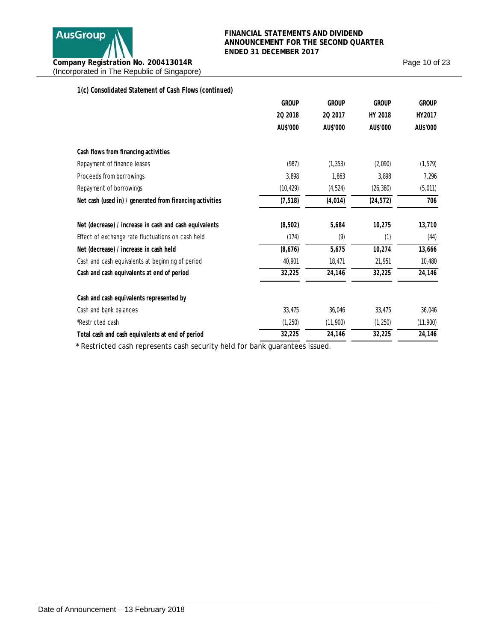

Page 10 of 23

| 1(c) Consolidated Statement of Cash Flows (continued)    |              |              |              |              |
|----------------------------------------------------------|--------------|--------------|--------------|--------------|
|                                                          | <b>GROUP</b> | <b>GROUP</b> | <b>GROUP</b> | <b>GROUP</b> |
|                                                          | 20 2018      | 20 2017      | HY 2018      | HY2017       |
|                                                          | AU\$'000     | AU\$'000     | AU\$'000     | AU\$'000     |
| Cash flows from financing activities                     |              |              |              |              |
| Repayment of finance leases                              | (987)        | (1, 353)     | (2,090)      | (1, 579)     |
| Proceeds from borrowings                                 | 3,898        | 1,863        | 3,898        | 7,296        |
| Repayment of borrowings                                  | (10, 429)    | (4, 524)     | (26, 380)    | (5,011)      |
| Net cash (used in) / generated from financing activities | (7, 518)     | (4, 014)     | (24, 572)    | 706          |
| Net (decrease) / increase in cash and cash equivalents   | (8, 502)     | 5,684        | 10,275       | 13,710       |
| Effect of exchange rate fluctuations on cash held        | (174)        | (9)          | (1)          | (44)         |
| Net (decrease) / increase in cash held                   | (8,676)      | 5,675        | 10,274       | 13,666       |
| Cash and cash equivalents at beginning of period         | 40,901       | 18,471       | 21,951       | 10,480       |
| Cash and cash equivalents at end of period               | 32,225       | 24,146       | 32,225       | 24,146       |
| Cash and cash equivalents represented by                 |              |              |              |              |
| Cash and bank balances                                   | 33,475       | 36,046       | 33,475       | 36,046       |
| *Restricted cash                                         | (1, 250)     | (11,900)     | (1,250)      | (11,900)     |
| Total cash and cash equivalents at end of period         | 32,225       | 24,146       | 32,225       | 24,146       |
|                                                          |              |              |              |              |

\* Restricted cash represents cash security held for bank guarantees issued.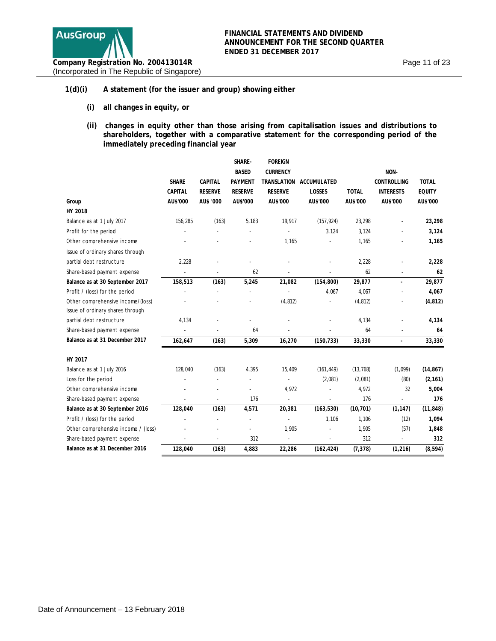

### **1(d)(i) A statement (for the issuer and group) showing either**

- **(i) all changes in equity, or**
- **(ii) changes in equity other than those arising from capitalisation issues and distributions to shareholders, together with a comparative statement for the corresponding period of the immediately preceding financial year**

|                                     |                |                | SHARE-         | <b>FOREIGN</b>  |                         |              |                    |               |
|-------------------------------------|----------------|----------------|----------------|-----------------|-------------------------|--------------|--------------------|---------------|
|                                     |                |                | <b>BASED</b>   | <b>CURRENCY</b> |                         |              | NON-               |               |
|                                     | <b>SHARE</b>   | <b>CAPITAL</b> | <b>PAYMENT</b> |                 | TRANSLATION ACCUMULATED |              | <b>CONTROLLING</b> | <b>TOTAL</b>  |
|                                     | <b>CAPITAL</b> | <b>RESERVE</b> | <b>RESERVE</b> | <b>RESERVE</b>  | LOSSES                  | <b>TOTAL</b> | <b>INTERESTS</b>   | <b>EQUITY</b> |
| Group                               | AU\$'000       | AU\$ '000      | AU\$'000       | AU\$'000        | AU\$'000                | AU\$'000     | AU\$'000           | AU\$'000      |
| HY 2018                             |                |                |                |                 |                         |              |                    |               |
| Balance as at 1 July 2017           | 156,285        | (163)          | 5,183          | 19,917          | (157, 924)              | 23,298       |                    | 23,298        |
| Profit for the period               |                |                |                |                 | 3,124                   | 3,124        |                    | 3,124         |
| Other comprehensive income          |                |                |                | 1,165           |                         | 1,165        |                    | 1,165         |
| Issue of ordinary shares through    |                |                |                |                 |                         |              |                    |               |
| partial debt restructure            | 2,228          |                |                |                 |                         | 2,228        |                    | 2,228         |
| Share-based payment expense         |                |                | 62             |                 | ä,                      | 62           |                    | 62            |
| Balance as at 30 September 2017     | 158,513        | (163)          | 5,245          | 21,082          | (154, 800)              | 29,877       | ÷.                 | 29,877        |
| Profit / (loss) for the period      |                |                |                |                 | 4,067                   | 4,067        |                    | 4,067         |
| Other comprehensive income/(loss)   |                |                |                | (4, 812)        |                         | (4, 812)     |                    | (4, 812)      |
| Issue of ordinary shares through    |                |                |                |                 |                         |              |                    |               |
| partial debt restructure            | 4,134          |                |                |                 |                         | 4,134        |                    | 4,134         |
| Share-based payment expense         |                |                | 64             |                 |                         | 64           |                    | 64            |
| Balance as at 31 December 2017      | 162,647        | (163)          | 5,309          | 16,270          | (150, 733)              | 33,330       | $\overline{a}$     | 33,330        |
| HY 2017                             |                |                |                |                 |                         |              |                    |               |
| Balance as at 1 July 2016           | 128,040        | (163)          | 4,395          | 15,409          | (161, 449)              | (13, 768)    | (1,099)            | (14, 867)     |
| Loss for the period                 |                |                | ÷,             |                 | (2,081)                 | (2,081)      | (80)               | (2, 161)      |
| Other comprehensive income          |                |                |                | 4,972           |                         | 4,972        | 32                 | 5,004         |
| Share-based payment expense         |                |                | 176            | ÷,              |                         | 176          | ÷,                 | 176           |
| Balance as at 30 September 2016     | 128,040        | (163)          | 4,571          | 20,381          | (163, 530)              | (10, 701)    | (1, 147)           | (11, 848)     |
| Profit / (loss) for the period      |                |                | Ĭ.             | ÷,              | 1,106                   | 1,106        | (12)               | 1,094         |
| Other comprehensive income / (loss) |                |                |                | 1,905           |                         | 1,905        | (57)               | 1,848         |
| Share-based payment expense         |                |                | 312            | ÷               | ä,                      | 312          | L.                 | 312           |
| Balance as at 31 December 2016      | 128,040        | (163)          | 4,883          | 22,286          | (162, 424)              | (7, 378)     | (1, 216)           | (8, 594)      |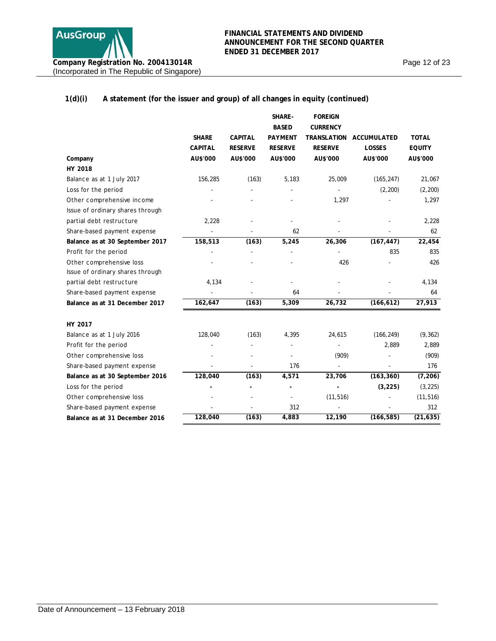

Page 12 of 23

## **1(d)(i) A statement (for the issuer and group) of all changes in equity (continued)**

|                                  |                |                | SHARE-         | <b>FOREIGN</b>     |                    |               |
|----------------------------------|----------------|----------------|----------------|--------------------|--------------------|---------------|
|                                  |                |                | <b>BASED</b>   | <b>CURRENCY</b>    |                    |               |
|                                  | <b>SHARE</b>   | <b>CAPITAL</b> | <b>PAYMENT</b> | <b>TRANSLATION</b> | <b>ACCUMULATED</b> | <b>TOTAL</b>  |
|                                  | <b>CAPITAL</b> | <b>RESERVE</b> | <b>RESERVE</b> | <b>RESERVE</b>     | LOSSES             | <b>EQUITY</b> |
| Company                          | AU\$'000       | AU\$'000       | AU\$'000       | AU\$'000           | AU\$'000           | AU\$'000      |
| HY 2018                          |                |                |                |                    |                    |               |
| Balance as at 1 July 2017        | 156,285        | (163)          | 5,183          | 25,009             | (165, 247)         | 21,067        |
| Loss for the period              |                |                |                |                    | (2, 200)           | (2, 200)      |
| Other comprehensive income       |                |                |                | 1,297              |                    | 1,297         |
| Issue of ordinary shares through |                |                |                |                    |                    |               |
| partial debt restructure         | 2,228          |                |                |                    |                    | 2,228         |
| Share-based payment expense      |                |                | 62             |                    |                    | 62            |
| Balance as at 30 September 2017  | 158,513        | (163)          | 5,245          | 26,306             | (167, 447)         | 22,454        |
| Profit for the period            |                |                |                |                    | 835                | 835           |
| Other comprehensive loss         |                |                |                | 426                |                    | 426           |
| Issue of ordinary shares through |                |                |                |                    |                    |               |
| partial debt restructure         | 4,134          |                |                |                    |                    | 4,134         |
| Share-based payment expense      |                |                | 64             |                    |                    | 64            |
| Balance as at 31 December 2017   | 162,647        | (163)          | 5,309          | 26,732             | (166, 612)         | 27,913        |
| HY 2017                          |                |                |                |                    |                    |               |
| Balance as at 1 July 2016        | 128,040        | (163)          | 4,395          | 24,615             | (166, 249)         | (9, 362)      |
| Profit for the period            |                |                |                |                    | 2,889              | 2,889         |
| Other comprehensive loss         |                |                |                | (909)              |                    | (909)         |
| Share-based payment expense      |                |                | 176            |                    |                    | 176           |
| Balance as at 30 September 2016  | 128,040        | (163)          | 4,571          | 23,706             | (163, 360)         | (7, 206)      |
| Loss for the period              |                |                |                |                    | (3, 225)           | (3, 225)      |
| Other comprehensive loss         |                |                |                | (11, 516)          |                    | (11, 516)     |
| Share-based payment expense      |                |                | 312            |                    |                    | 312           |
| Balance as at 31 December 2016   | 128,040        | (163)          | 4,883          | 12,190             | (166, 585)         | (21, 635)     |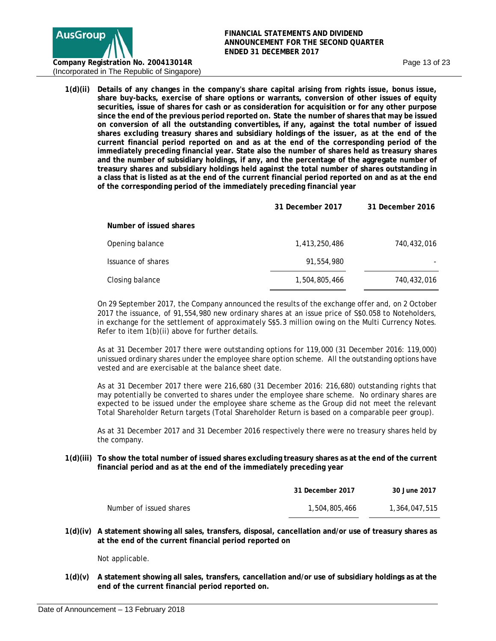

**1(d)(ii) Details of any changes in the company's share capital arising from rights issue, bonus issue, share buy-backs, exercise of share options or warrants, conversion of other issues of equity securities, issue of shares for cash or as consideration for acquisition or for any other purpose since the end of the previous period reported on. State the number of shares that may be issued on conversion of all the outstanding convertibles, if any, against the total number of issued shares excluding treasury shares and subsidiary holdings of the issuer, as at the end of the current financial period reported on and as at the end of the corresponding period of the immediately preceding financial year. State also the number of shares held as treasury shares and the number of subsidiary holdings, if any, and the percentage of the aggregate number of treasury shares and subsidiary holdings held against the total number of shares outstanding in a class that is listed as at the end of the current financial period reported on and as at the end of the corresponding period of the immediately preceding financial year** 

|                         | 31 December 2017 | 31 December 2016 |
|-------------------------|------------------|------------------|
| Number of issued shares |                  |                  |
| Opening balance         | 1,413,250,486    | 740,432,016      |
| Issuance of shares      | 91,554,980       |                  |
| Closing balance         | 1,504,805,466    | 740,432,016      |

On 29 September 2017, the Company announced the results of the exchange offer and, on 2 October 2017 the issuance, of 91,554,980 new ordinary shares at an issue price of S\$0.058 to Noteholders, in exchange for the settlement of approximately S\$5.3 million owing on the Multi Currency Notes. Refer to item 1(b)(ii) above for further details.

As at 31 December 2017 there were outstanding options for 119,000 (31 December 2016: 119,000) unissued ordinary shares under the employee share option scheme. All the outstanding options have vested and are exercisable at the balance sheet date.

As at 31 December 2017 there were 216,680 (31 December 2016: 216,680) outstanding rights that may potentially be converted to shares under the employee share scheme. No ordinary shares are expected to be issued under the employee share scheme as the Group did not meet the relevant Total Shareholder Return targets (Total Shareholder Return is based on a comparable peer group).

As at 31 December 2017 and 31 December 2016 respectively there were no treasury shares held by the company.

**1(d)(iii) To show the total number of issued shares excluding treasury shares as at the end of the current financial period and as at the end of the immediately preceding year** 

|                         | 31 December 2017 | 30 June 2017  |
|-------------------------|------------------|---------------|
| Number of issued shares | 1,504,805,466    | 1,364,047,515 |

**1(d)(iv) A statement showing all sales, transfers, disposal, cancellation and/or use of treasury shares as at the end of the current financial period reported on** 

Not applicable.

**1(d)(v) A statement showing all sales, transfers, cancellation and/or use of subsidiary holdings as at the end of the current financial period reported on.**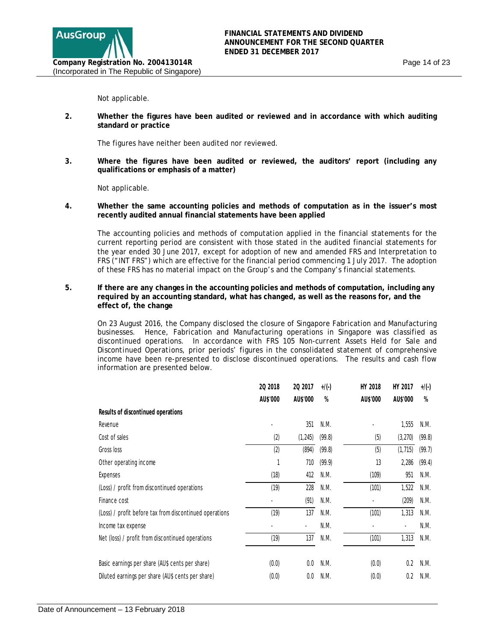Not applicable.

**2. Whether the figures have been audited or reviewed and in accordance with which auditing standard or practice**

The figures have neither been audited nor reviewed.

**3. Where the figures have been audited or reviewed, the auditors' report (including any qualifications or emphasis of a matter)**

Not applicable.

**4. Whether the same accounting policies and methods of computation as in the issuer's most recently audited annual financial statements have been applied**

The accounting policies and methods of computation applied in the financial statements for the current reporting period are consistent with those stated in the audited financial statements for the year ended 30 June 2017, except for adoption of new and amended FRS and Interpretation to FRS ("INT FRS") which are effective for the financial period commencing 1 July 2017. The adoption of these FRS has no material impact on the Group's and the Company's financial statements.

**5. If there are any changes in the accounting policies and methods of computation, including any required by an accounting standard, what has changed, as well as the reasons for, and the effect of, the change**

On 23 August 2016, the Company disclosed the closure of Singapore Fabrication and Manufacturing businesses. Hence, Fabrication and Manufacturing operations in Singapore was classified as discontinued operations. In accordance with FRS 105 *Non-current Assets Held for Sale and Discontinued Operations,* prior periods' figures in the consolidated statement of comprehensive income have been re-presented to disclose discontinued operations. The results and cash flow information are presented below.

|                                                         | 20 2018  | 20 2017  | $+$ /(-) | HY 2018  | HY 2017  | $+$ /(-) |
|---------------------------------------------------------|----------|----------|----------|----------|----------|----------|
|                                                         | AU\$'000 | AU\$'000 | $\%$     | AU\$'000 | AU\$'000 | %        |
| Results of discontinued operations                      |          |          |          |          |          |          |
| Revenue                                                 |          | 351      | N.M.     |          | 1,555    | N.M.     |
| Cost of sales                                           | (2)      | (1, 245) | (99.8)   | (5)      | (3,270)  | (99.8)   |
| Gross loss                                              | (2)      | (894)    | (99.8)   | (5)      | (1, 715) | (99.7)   |
| Other operating income                                  | 1        | 710      | (99.9)   | 13       | 2,286    | (99.4)   |
| Expenses                                                | (18)     | 412      | N.M.     | (109)    | 951      | N.M.     |
| (Loss) / profit from discontinued operations            | (19)     | 228      | N.M.     | (101)    | 1,522    | N.M.     |
| Finance cost                                            |          | (91)     | N.M.     |          | (209)    | N.M.     |
| (Loss) / profit before tax from discontinued operations | (19)     | 137      | N.M.     | (101)    | 1,313    | N.M.     |
| Income tax expense                                      |          |          | N.M.     |          |          | N.M.     |
| Net (loss) / profit from discontinued operations        | (19)     | 137      | N.M.     | (101)    | 1,313    | N.M.     |
| Basic earnings per share (AU\$ cents per share)         | (0.0)    | 0.0      | N.M.     | (0.0)    | 0.2      | N.M.     |
| Diluted earnings per share (AU\$ cents per share)       | (0.0)    | 0.0      | N.M.     | (0.0)    | 0.2      | N.M.     |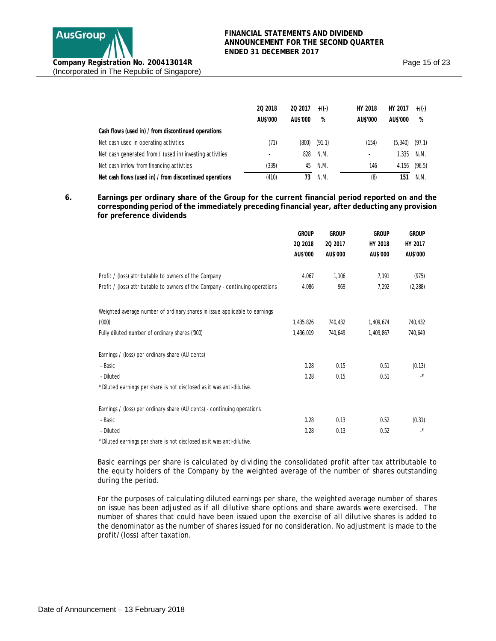

|                                                          | 20 2018  | 20 2017  | $+/(-)$ | HY 2018  | HY 2017  | $+/(-)$ |
|----------------------------------------------------------|----------|----------|---------|----------|----------|---------|
|                                                          | AU\$'000 | AU\$'000 | %       | AU\$'000 | AU\$'000 | %       |
| Cash flows (used in) / from discontinued operations      |          |          |         |          |          |         |
| Net cash used in operating activities                    | (71)     | (800)    | (91.1)  | (154)    | (5, 340) | (97.1)  |
| Net cash generated from / (used in) investing activities |          | 828      | N.M.    |          | 1,335    | N.M.    |
| Net cash inflow from financing activities                | (339)    | 45       | N.M.    | 146      | 4.156    | (96.5)  |
| Net cash flows (used in) / from discontinued operations  | (410)    | 73       | N.M.    | (8)      | 151      | N.M.    |

**6. Earnings per ordinary share of the Group for the current financial period reported on and the corresponding period of the immediately preceding financial year, after deducting any provision for preference dividends**

|                                                                               | <b>GROUP</b><br>20 2018<br>AU\$'000 | <b>GROUP</b><br>20 2017<br>AU\$'000 | <b>GROUP</b><br>HY 2018<br>AU\$'000 | <b>GROUP</b><br>HY 2017<br>AU\$'000 |
|-------------------------------------------------------------------------------|-------------------------------------|-------------------------------------|-------------------------------------|-------------------------------------|
| Profit / (loss) attributable to owners of the Company                         | 4,067                               | 1,106                               | 7,191                               | (975)                               |
| Profit / (loss) attributable to owners of the Company - continuing operations | 4,086                               | 969                                 | 7,292                               | (2, 288)                            |
| Weighted average number of ordinary shares in issue applicable to earnings    |                                     |                                     |                                     |                                     |
| (000)                                                                         | 1,435,826                           | 740,432                             | 1,409,674                           | 740,432                             |
| Fully diluted number of ordinary shares ('000)                                | 1,436,019                           | 740,649                             | 1,409,867                           | 740,649                             |
| Earnings / (loss) per ordinary share (AU cents)                               |                                     |                                     |                                     |                                     |
| - Basic                                                                       | 0.28                                | 0.15                                | 0.51                                | (0.13)                              |
| - Diluted                                                                     | 0.28                                | 0.15                                | 0.51                                | $\cdot^*$                           |
| * Diluted earnings per share is not disclosed as it was anti-dilutive.        |                                     |                                     |                                     |                                     |
| Earnings / (loss) per ordinary share (AU cents) - continuing operations       |                                     |                                     |                                     |                                     |
| - Basic                                                                       | 0.28                                | 0.13                                | 0.52                                | (0.31)                              |
| - Diluted                                                                     | 0.28                                | 0.13                                | 0.52                                | $\cdot^*$                           |

\* Diluted earnings per share is not disclosed as it was anti-dilutive.

Basic earnings per share is calculated by dividing the consolidated profit after tax attributable to the equity holders of the Company by the weighted average of the number of shares outstanding during the period.

For the purposes of calculating diluted earnings per share, the weighted average number of shares on issue has been adjusted as if all dilutive share options and share awards were exercised. The number of shares that could have been issued upon the exercise of all dilutive shares is added to the denominator as the number of shares issued for no consideration. No adjustment is made to the profit/(loss) after taxation.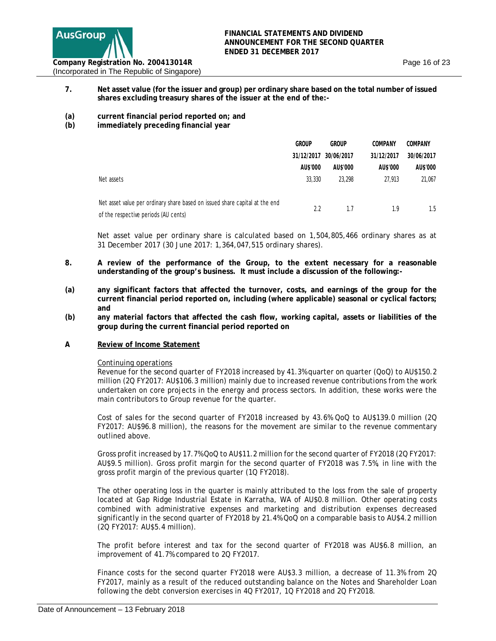

- **7. Net asset value (for the issuer and group) per ordinary share based on the total number of issued shares excluding treasury shares of the issuer at the end of the:-**
- **(a) current financial period reported on; and**
- **(b) immediately preceding financial year**

|                                                                             | <b>GROUP</b> | <b>GROUP</b>          | COMPANY    | <b>COMPANY</b> |
|-----------------------------------------------------------------------------|--------------|-----------------------|------------|----------------|
|                                                                             |              | 31/12/2017 30/06/2017 | 31/12/2017 | 30/06/2017     |
|                                                                             | AU\$'000     | AU\$'000              | AU\$'000   | AU\$'000       |
| Net assets                                                                  | 33,330       | 23,298                | 27,913     | 21.067         |
|                                                                             |              |                       |            |                |
| Net asset value per ordinary share based on issued share capital at the end | 2.2          | 1.7                   | 1.9        | 1.5            |
| of the respective periods (AU cents)                                        |              |                       |            |                |

Net asset value per ordinary share is calculated based on 1,504,805,466 ordinary shares as at 31 December 2017 (30 June 2017: 1,364,047,515 ordinary shares).

- **8. A review of the performance of the Group, to the extent necessary for a reasonable understanding of the group's business. It must include a discussion of the following:-**
- **(a) any significant factors that affected the turnover, costs, and earnings of the group for the current financial period reported on, including (where applicable) seasonal or cyclical factors; and**
- **(b) any material factors that affected the cash flow, working capital, assets or liabilities of the group during the current financial period reported on**
- **A Review of Income Statement**

#### Continuing operations

Revenue for the second quarter of FY2018 increased by 41.3% quarter on quarter (QoQ) to AU\$150.2 million (2Q FY2017: AU\$106.3 million) mainly due to increased revenue contributions from the work undertaken on core projects in the energy and process sectors. In addition, these works were the main contributors to Group revenue for the quarter.

Cost of sales for the second quarter of FY2018 increased by 43.6% QoQ to AU\$139.0 million (2Q FY2017: AU\$96.8 million), the reasons for the movement are similar to the revenue commentary outlined above.

Gross profit increased by 17.7% QoQ to AU\$11.2 million for the second quarter of FY2018 (2Q FY2017: AU\$9.5 million). Gross profit margin for the second quarter of FY2018 was 7.5%, in line with the gross profit margin of the previous quarter (1Q FY2018).

The other operating loss in the quarter is mainly attributed to the loss from the sale of property located at Gap Ridge Industrial Estate in Karratha, WA of AU\$0.8 million. Other operating costs combined with administrative expenses and marketing and distribution expenses decreased significantly in the second quarter of FY2018 by 21.4% QoQ on a comparable basis to AU\$4.2 million (2Q FY2017: AU\$5.4 million).

The profit before interest and tax for the second quarter of FY2018 was AU\$6.8 million, an improvement of 41.7% compared to 2Q FY2017.

Finance costs for the second quarter FY2018 were AU\$3.3 million, a decrease of 11.3% from 2Q FY2017, mainly as a result of the reduced outstanding balance on the Notes and Shareholder Loan following the debt conversion exercises in 4Q FY2017, 1Q FY2018 and 2Q FY2018.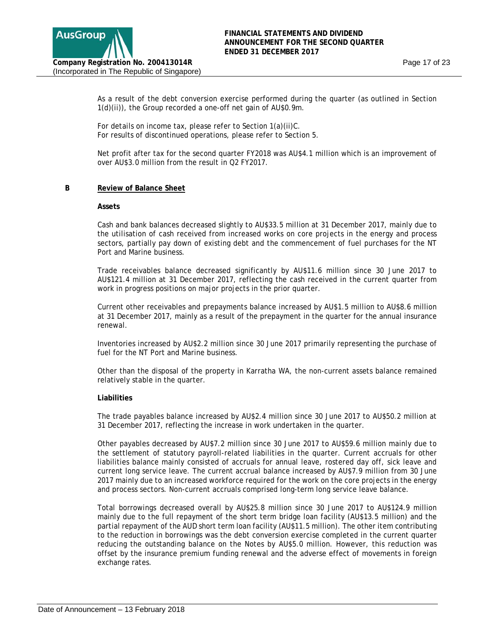As a result of the debt conversion exercise performed during the quarter (as outlined in Section 1(d)(ii)), the Group recorded a one-off net gain of AU\$0.9m.

For details on income tax, please refer to Section 1(a)(ii)C. For results of discontinued operations, please refer to Section 5.

Net profit after tax for the second quarter FY2018 was AU\$4.1 million which is an improvement of over AU\$3.0 million from the result in Q2 FY2017.

### **B Review of Balance Sheet**

#### **Assets**

Cash and bank balances decreased slightly to AU\$33.5 million at 31 December 2017, mainly due to the utilisation of cash received from increased works on core projects in the energy and process sectors, partially pay down of existing debt and the commencement of fuel purchases for the NT Port and Marine business.

Trade receivables balance decreased significantly by AU\$11.6 million since 30 June 2017 to AU\$121.4 million at 31 December 2017, reflecting the cash received in the current quarter from work in progress positions on major projects in the prior quarter.

Current other receivables and prepayments balance increased by AU\$1.5 million to AU\$8.6 million at 31 December 2017, mainly as a result of the prepayment in the quarter for the annual insurance renewal.

Inventories increased by AU\$2.2 million since 30 June 2017 primarily representing the purchase of fuel for the NT Port and Marine business.

Other than the disposal of the property in Karratha WA, the non-current assets balance remained relatively stable in the quarter.

#### **Liabilities**

The trade payables balance increased by AU\$2.4 million since 30 June 2017 to AU\$50.2 million at 31 December 2017, reflecting the increase in work undertaken in the quarter.

Other payables decreased by AU\$7.2 million since 30 June 2017 to AU\$59.6 million mainly due to the settlement of statutory payroll-related liabilities in the quarter. Current accruals for other liabilities balance mainly consisted of accruals for annual leave, rostered day off, sick leave and current long service leave. The current accrual balance increased by AU\$7.9 million from 30 June 2017 mainly due to an increased workforce required for the work on the core projects in the energy and process sectors. Non-current accruals comprised long-term long service leave balance.

Total borrowings decreased overall by AU\$25.8 million since 30 June 2017 to AU\$124.9 million mainly due to the full repayment of the short term bridge loan facility (AU\$13.5 million) and the partial repayment of the AUD short term loan facility (AU\$11.5 million). The other item contributing to the reduction in borrowings was the debt conversion exercise completed in the current quarter reducing the outstanding balance on the Notes by AU\$5.0 million. However, this reduction was offset by the insurance premium funding renewal and the adverse effect of movements in foreign exchange rates.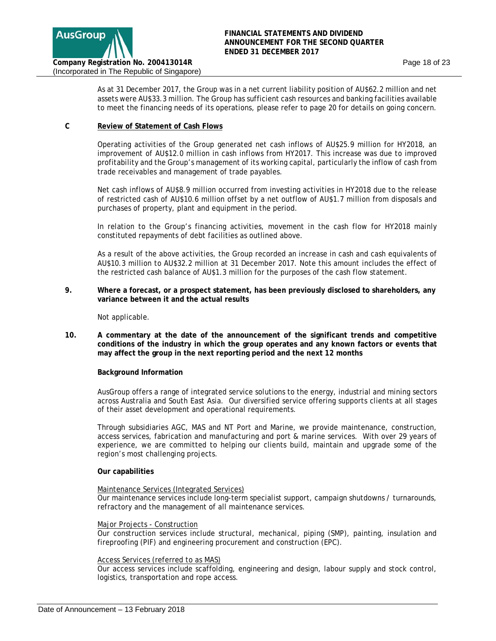

As at 31 December 2017, the Group was in a net current liability position of AU\$62.2 million and net assets were AU\$33.3 million. The Group has sufficient cash resources and banking facilities available to meet the financing needs of its operations, please refer to page 20 for details on going concern.

### **C Review of Statement of Cash Flows**

Operating activities of the Group generated net cash inflows of AU\$25.9 million for HY2018, an improvement of AU\$12.0 million in cash inflows from HY2017. This increase was due to improved profitability and the Group's management of its working capital, particularly the inflow of cash from trade receivables and management of trade payables.

Net cash inflows of AU\$8.9 million occurred from investing activities in HY2018 due to the release of restricted cash of AU\$10.6 million offset by a net outflow of AU\$1.7 million from disposals and purchases of property, plant and equipment in the period.

In relation to the Group's financing activities, movement in the cash flow for HY2018 mainly constituted repayments of debt facilities as outlined above.

As a result of the above activities, the Group recorded an increase in cash and cash equivalents of AU\$10.3 million to AU\$32.2 million at 31 December 2017. Note this amount includes the effect of the restricted cash balance of AU\$1.3 million for the purposes of the cash flow statement.

**9. Where a forecast, or a prospect statement, has been previously disclosed to shareholders, any variance between it and the actual results**

Not applicable.

**10. A commentary at the date of the announcement of the significant trends and competitive conditions of the industry in which the group operates and any known factors or events that may affect the group in the next reporting period and the next 12 months** 

#### **Background Information**

AusGroup offers a range of integrated service solutions to the energy, industrial and mining sectors across Australia and South East Asia. Our diversified service offering supports clients at all stages of their asset development and operational requirements.

Through subsidiaries AGC, MAS and NT Port and Marine, we provide maintenance, construction, access services, fabrication and manufacturing and port & marine services. With over 29 years of experience, we are committed to helping our clients build, maintain and upgrade some of the region's most challenging projects.

#### **Our capabilities**

### Maintenance Services (Integrated Services)

Our maintenance services include long-term specialist support, campaign shutdowns / turnarounds, refractory and the management of all maintenance services.

#### Major Projects - Construction

Our construction services include structural, mechanical, piping (SMP), painting, insulation and fireproofing (PIF) and engineering procurement and construction (EPC).

### Access Services (referred to as MAS)

Our access services include scaffolding, engineering and design, labour supply and stock control, logistics, transportation and rope access.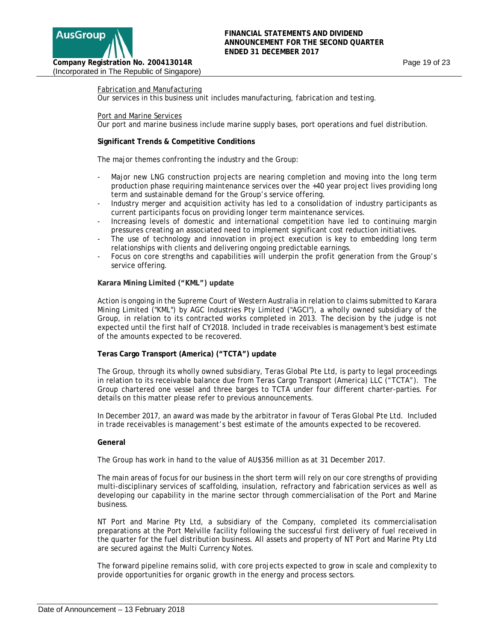

#### Fabrication and Manufacturing

Our services in this business unit includes manufacturing, fabrication and testing.

#### Port and Marine Services

Our port and marine business include marine supply bases, port operations and fuel distribution.

#### **Significant Trends & Competitive Conditions**

The major themes confronting the industry and the Group:

- Major new LNG construction projects are nearing completion and moving into the long term production phase requiring maintenance services over the +40 year project lives providing long term and sustainable demand for the Group's service offering.
- Industry merger and acquisition activity has led to a consolidation of industry participants as current participants focus on providing longer term maintenance services.
- Increasing levels of domestic and international competition have led to continuing margin pressures creating an associated need to implement significant cost reduction initiatives.
- The use of technology and innovation in project execution is key to embedding long term relationships with clients and delivering ongoing predictable earnings.
- Focus on core strengths and capabilities will underpin the profit generation from the Group's service offering.

#### **Karara Mining Limited ("KML") update**

Action is ongoing in the Supreme Court of Western Australia in relation to claims submitted to Karara Mining Limited ("KML") by AGC Industries Pty Limited ("AGCI"), a wholly owned subsidiary of the Group, in relation to its contracted works completed in 2013. The decision by the judge is not expected until the first half of CY2018. Included in trade receivables is management's best estimate of the amounts expected to be recovered.

### **Teras Cargo Transport (America) ("TCTA") update**

The Group, through its wholly owned subsidiary, Teras Global Pte Ltd, is party to legal proceedings in relation to its receivable balance due from Teras Cargo Transport (America) LLC ("TCTA"). The Group chartered one vessel and three barges to TCTA under four different charter-parties. For details on this matter please refer to previous announcements.

In December 2017, an award was made by the arbitrator in favour of Teras Global Pte Ltd. Included in trade receivables is management's best estimate of the amounts expected to be recovered.

#### **General**

The Group has work in hand to the value of AU\$356 million as at 31 December 2017.

The main areas of focus for our business in the short term will rely on our core strengths of providing multi-disciplinary services of scaffolding, insulation, refractory and fabrication services as well as developing our capability in the marine sector through commercialisation of the Port and Marine business.

NT Port and Marine Pty Ltd, a subsidiary of the Company, completed its commercialisation preparations at the Port Melville facility following the successful first delivery of fuel received in the quarter for the fuel distribution business. All assets and property of NT Port and Marine Pty Ltd are secured against the Multi Currency Notes.

The forward pipeline remains solid, with core projects expected to grow in scale and complexity to provide opportunities for organic growth in the energy and process sectors.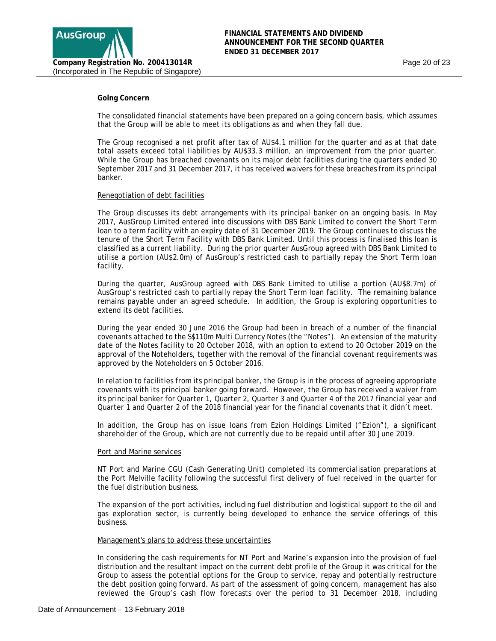

### **Going Concern**

The consolidated financial statements have been prepared on a going concern basis, which assumes that the Group will be able to meet its obligations as and when they fall due.

The Group recognised a net profit after tax of AU\$4.1 million for the quarter and as at that date total assets exceed total liabilities by AU\$33.3 million, an improvement from the prior quarter. While the Group has breached covenants on its major debt facilities during the quarters ended 30 September 2017 and 31 December 2017, it has received waivers for these breaches from its principal banker.

#### Renegotiation of debt facilities

The Group discusses its debt arrangements with its principal banker on an ongoing basis. In May 2017, AusGroup Limited entered into discussions with DBS Bank Limited to convert the Short Term loan to a term facility with an expiry date of 31 December 2019. The Group continues to discuss the tenure of the Short Term Facility with DBS Bank Limited. Until this process is finalised this loan is classified as a current liability. During the prior quarter AusGroup agreed with DBS Bank Limited to utilise a portion (AU\$2.0m) of AusGroup's restricted cash to partially repay the Short Term loan facility.

During the quarter, AusGroup agreed with DBS Bank Limited to utilise a portion (AU\$8.7m) of AusGroup's restricted cash to partially repay the Short Term loan facility. The remaining balance remains payable under an agreed schedule. In addition, the Group is exploring opportunities to extend its debt facilities.

During the year ended 30 June 2016 the Group had been in breach of a number of the financial covenants attached to the S\$110m Multi Currency Notes (the "Notes"). An extension of the maturity date of the Notes facility to 20 October 2018, with an option to extend to 20 October 2019 on the approval of the Noteholders, together with the removal of the financial covenant requirements was approved by the Noteholders on 5 October 2016.

In relation to facilities from its principal banker, the Group is in the process of agreeing appropriate covenants with its principal banker going forward. However, the Group has received a waiver from its principal banker for Quarter 1, Quarter 2, Quarter 3 and Quarter 4 of the 2017 financial year and Quarter 1 and Quarter 2 of the 2018 financial year for the financial covenants that it didn't meet.

In addition, the Group has on issue loans from Ezion Holdings Limited ("Ezion"), a significant shareholder of the Group, which are not currently due to be repaid until after 30 June 2019.

#### Port and Marine services

NT Port and Marine CGU (Cash Generating Unit) completed its commercialisation preparations at the Port Melville facility following the successful first delivery of fuel received in the quarter for the fuel distribution business.

The expansion of the port activities, including fuel distribution and logistical support to the oil and gas exploration sector, is currently being developed to enhance the service offerings of this business.

#### Management's plans to address these uncertainties

In considering the cash requirements for NT Port and Marine's expansion into the provision of fuel distribution and the resultant impact on the current debt profile of the Group it was critical for the Group to assess the potential options for the Group to service, repay and potentially restructure the debt position going forward. As part of the assessment of going concern, management has also reviewed the Group's cash flow forecasts over the period to 31 December 2018, including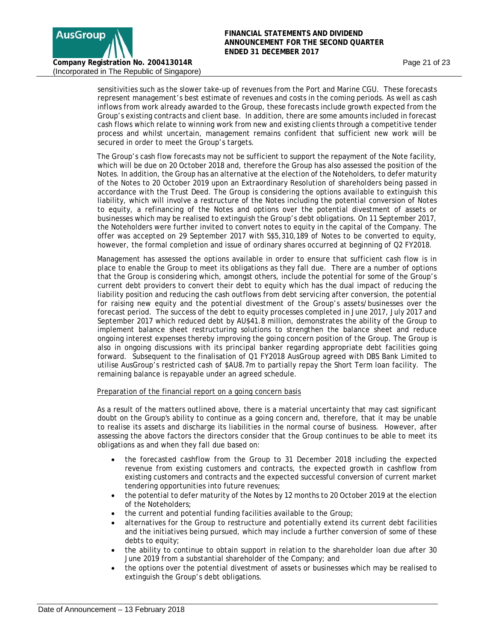

sensitivities such as the slower take-up of revenues from the Port and Marine CGU. These forecasts represent management's best estimate of revenues and costs in the coming periods. As well as cash inflows from work already awarded to the Group, these forecasts include growth expected from the Group's existing contracts and client base. In addition, there are some amounts included in forecast cash flows which relate to winning work from new and existing clients through a competitive tender process and whilst uncertain, management remains confident that sufficient new work will be secured in order to meet the Group's targets.

The Group's cash flow forecasts may not be sufficient to support the repayment of the Note facility, which will be due on 20 October 2018 and, therefore the Group has also assessed the position of the Notes. In addition, the Group has an alternative at the election of the Noteholders, to defer maturity of the Notes to 20 October 2019 upon an Extraordinary Resolution of shareholders being passed in accordance with the Trust Deed. The Group is considering the options available to extinguish this liability, which will involve a restructure of the Notes including the potential conversion of Notes to equity, a refinancing of the Notes and options over the potential divestment of assets or businesses which may be realised to extinguish the Group's debt obligations. On 11 September 2017, the Noteholders were further invited to convert notes to equity in the capital of the Company. The offer was accepted on 29 September 2017 with S\$5,310,189 of Notes to be converted to equity, however, the formal completion and issue of ordinary shares occurred at beginning of Q2 FY2018.

Management has assessed the options available in order to ensure that sufficient cash flow is in place to enable the Group to meet its obligations as they fall due. There are a number of options that the Group is considering which, amongst others, include the potential for some of the Group's current debt providers to convert their debt to equity which has the dual impact of reducing the liability position and reducing the cash outflows from debt servicing after conversion, the potential for raising new equity and the potential divestment of the Group's assets/businesses over the forecast period. The success of the debt to equity processes completed in June 2017, July 2017 and September 2017 which reduced debt by AU\$41.8 million, demonstrates the ability of the Group to implement balance sheet restructuring solutions to strengthen the balance sheet and reduce ongoing interest expenses thereby improving the going concern position of the Group. The Group is also in ongoing discussions with its principal banker regarding appropriate debt facilities going forward. Subsequent to the finalisation of Q1 FY2018 AusGroup agreed with DBS Bank Limited to utilise AusGroup's restricted cash of \$AU8.7m to partially repay the Short Term loan facility. The remaining balance is repayable under an agreed schedule.

Preparation of the financial report on a going concern basis

As a result of the matters outlined above, there is a material uncertainty that may cast significant doubt on the Group's ability to continue as a going concern and, therefore, that it may be unable to realise its assets and discharge its liabilities in the normal course of business. However, after assessing the above factors the directors consider that the Group continues to be able to meet its obligations as and when they fall due based on:

- the forecasted cashflow from the Group to 31 December 2018 including the expected revenue from existing customers and contracts, the expected growth in cashflow from existing customers and contracts and the expected successful conversion of current market tendering opportunities into future revenues;
- the potential to defer maturity of the Notes by 12 months to 20 October 2019 at the election of the Noteholders;
- the current and potential funding facilities available to the Group;
- alternatives for the Group to restructure and potentially extend its current debt facilities and the initiatives being pursued, which may include a further conversion of some of these debts to equity;
- the ability to continue to obtain support in relation to the shareholder loan due after 30 June 2019 from a substantial shareholder of the Company; and
- the options over the potential divestment of assets or businesses which may be realised to extinguish the Group's debt obligations.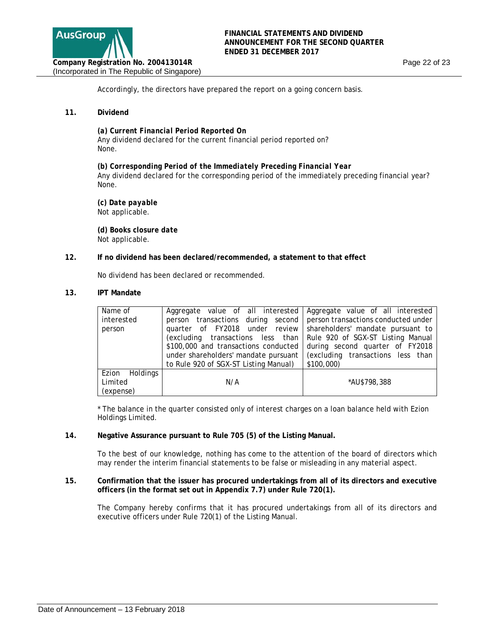

Accordingly, the directors have prepared the report on a going concern basis.

### **11. Dividend**

*(a) Current Financial Period Reported On* Any dividend declared for the current financial period reported on? None.

*(b) Corresponding Period of the Immediately Preceding Financial Year*  Any dividend declared for the corresponding period of the immediately preceding financial year? None.

*(c) Date payable*  Not applicable.

 **(***d) Books closure date* Not applicable.

#### **12. If no dividend has been declared/recommended, a statement to that effect**

No dividend has been declared or recommended.

#### **13. IPT Mandate**

| Name of<br>interested<br>person        | Aggregate value of all interested Aggregate value of all interested<br>person transactions during second person transactions conducted under<br>quarter of FY2018 under review shareholders' mandate pursuant to<br>(excluding transactions less than   Rule 920 of SGX-ST Listing Manual<br>\$100,000 and transactions conducted<br>under shareholders' mandate pursuant | during second quarter of FY2018<br>(excluding transactions less than |
|----------------------------------------|---------------------------------------------------------------------------------------------------------------------------------------------------------------------------------------------------------------------------------------------------------------------------------------------------------------------------------------------------------------------------|----------------------------------------------------------------------|
|                                        | to Rule 920 of SGX-ST Listing Manual)                                                                                                                                                                                                                                                                                                                                     | \$100,000                                                            |
| Ezion Holdings<br>Limited<br>(expense) | N/A                                                                                                                                                                                                                                                                                                                                                                       | *AU\$798,388                                                         |

\* The balance in the quarter consisted only of interest charges on a loan balance held with Ezion Holdings Limited.

#### **14. Negative Assurance pursuant to Rule 705 (5) of the Listing Manual.**

To the best of our knowledge, nothing has come to the attention of the board of directors which may render the interim financial statements to be false or misleading in any material aspect.

#### **15. Confirmation that the issuer has procured undertakings from all of its directors and executive officers (in the format set out in Appendix 7.7) under Rule 720(1).**

The Company hereby confirms that it has procured undertakings from all of its directors and executive officers under Rule 720(1) of the Listing Manual.